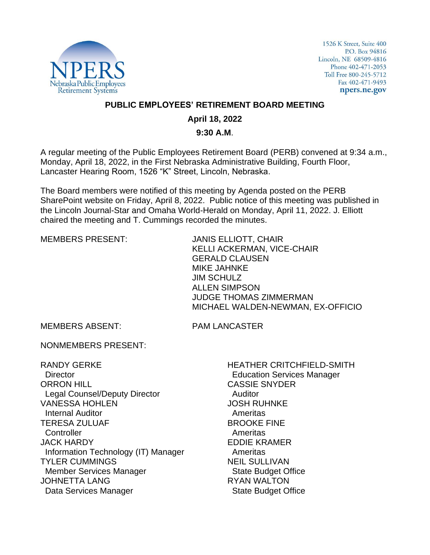

1526 K Street, Suite 400 P.O. Box 94816 Lincoln, NE 68509-4816 Phone 402-471-2053 Toll Free 800-245-5712 Fax 402-471-9493 npers.ne.gov

## **PUBLIC EMPLOYEES' RETIREMENT BOARD MEETING**

## **April 18, 2022**

## **9:30 A.M**.

A regular meeting of the Public Employees Retirement Board (PERB) convened at 9:34 a.m., Monday, April 18, 2022, in the First Nebraska Administrative Building, Fourth Floor, Lancaster Hearing Room, 1526 "K" Street, Lincoln, Nebraska.

The Board members were notified of this meeting by Agenda posted on the PERB SharePoint website on Friday, April 8, 2022. Public notice of this meeting was published in the Lincoln Journal-Star and Omaha World-Herald on Monday, April 11, 2022. J. Elliott chaired the meeting and T. Cummings recorded the minutes.

MEMBERS PRESENT: JANIS ELLIOTT, CHAIR KELLI ACKERMAN, VICE-CHAIR GERALD CLAUSEN MIKE JAHNKE JIM SCHULZ ALLEN SIMPSON JUDGE THOMAS ZIMMERMAN MICHAEL WALDEN-NEWMAN, EX-OFFICIO

MEMBERS ABSENT: PAM LANCASTER

NONMEMBERS PRESENT:

RANDY GERKE **Director** ORRON HILL Legal Counsel/Deputy Director VANESSA HOHLEN Internal Auditor TERESA ZULUAF **Controller** JACK HARDY Information Technology (IT) Manager TYLER CUMMINGS Member Services Manager JOHNETTA LANG Data Services Manager

HEATHER CRITCHFIELD-SMITH Education Services Manager CASSIE SNYDER Auditor JOSH RUHNKE Ameritas BROOKE FINE Ameritas EDDIE KRAMER Ameritas NEIL SULLIVAN State Budget Office RYAN WALTON State Budget Office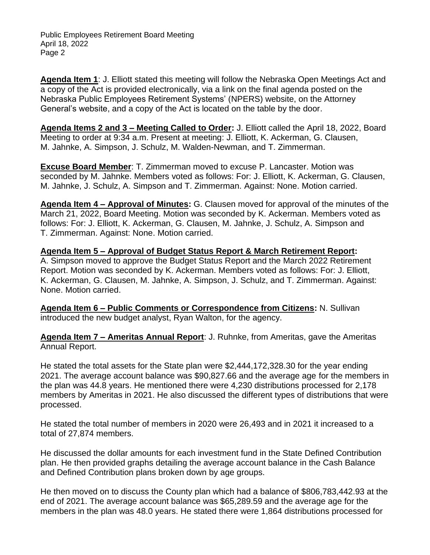**Agenda Item 1**: J. Elliott stated this meeting will follow the Nebraska Open Meetings Act and a copy of the Act is provided electronically, via a link on the final agenda posted on the Nebraska Public Employees Retirement Systems' (NPERS) website, on the Attorney General's website, and a copy of the Act is located on the table by the door.

**Agenda Items 2 and 3 – Meeting Called to Order:** J. Elliott called the April 18, 2022, Board Meeting to order at 9:34 a.m. Present at meeting: J. Elliott, K. Ackerman, G. Clausen, M. Jahnke, A. Simpson, J. Schulz, M. Walden-Newman, and T. Zimmerman.

**Excuse Board Member**: T. Zimmerman moved to excuse P. Lancaster. Motion was seconded by M. Jahnke. Members voted as follows: For: J. Elliott, K. Ackerman, G. Clausen, M. Jahnke, J. Schulz, A. Simpson and T. Zimmerman. Against: None. Motion carried.

**Agenda Item 4 – Approval of Minutes:** G. Clausen moved for approval of the minutes of the March 21, 2022, Board Meeting. Motion was seconded by K. Ackerman. Members voted as follows: For: J. Elliott, K. Ackerman, G. Clausen, M. Jahnke, J. Schulz, A. Simpson and T. Zimmerman. Against: None. Motion carried.

**Agenda Item 5 – Approval of Budget Status Report & March Retirement Report:**  A. Simpson moved to approve the Budget Status Report and the March 2022 Retirement Report. Motion was seconded by K. Ackerman. Members voted as follows: For: J. Elliott, K. Ackerman, G. Clausen, M. Jahnke, A. Simpson, J. Schulz, and T. Zimmerman. Against: None. Motion carried.

**Agenda Item 6 – Public Comments or Correspondence from Citizens:** N. Sullivan introduced the new budget analyst, Ryan Walton, for the agency.

**Agenda Item 7 – Ameritas Annual Report**: J. Ruhnke, from Ameritas, gave the Ameritas Annual Report.

He stated the total assets for the State plan were \$2,444,172,328.30 for the year ending 2021. The average account balance was \$90,827.66 and the average age for the members in the plan was 44.8 years. He mentioned there were 4,230 distributions processed for 2,178 members by Ameritas in 2021. He also discussed the different types of distributions that were processed.

He stated the total number of members in 2020 were 26,493 and in 2021 it increased to a total of 27,874 members.

He discussed the dollar amounts for each investment fund in the State Defined Contribution plan. He then provided graphs detailing the average account balance in the Cash Balance and Defined Contribution plans broken down by age groups.

He then moved on to discuss the County plan which had a balance of \$806,783,442.93 at the end of 2021. The average account balance was \$65,289.59 and the average age for the members in the plan was 48.0 years. He stated there were 1,864 distributions processed for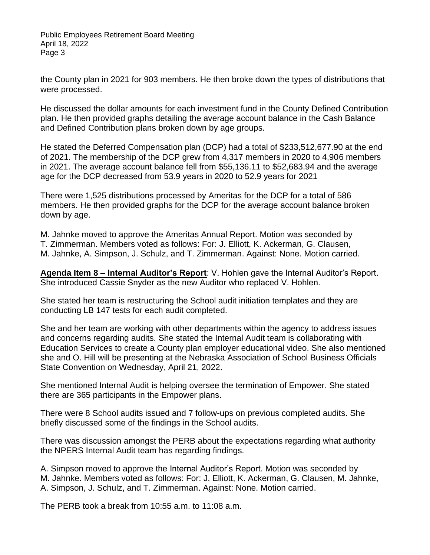the County plan in 2021 for 903 members. He then broke down the types of distributions that were processed.

He discussed the dollar amounts for each investment fund in the County Defined Contribution plan. He then provided graphs detailing the average account balance in the Cash Balance and Defined Contribution plans broken down by age groups.

He stated the Deferred Compensation plan (DCP) had a total of \$233,512,677.90 at the end of 2021. The membership of the DCP grew from 4,317 members in 2020 to 4,906 members in 2021. The average account balance fell from \$55,136.11 to \$52,683.94 and the average age for the DCP decreased from 53.9 years in 2020 to 52.9 years for 2021

There were 1,525 distributions processed by Ameritas for the DCP for a total of 586 members. He then provided graphs for the DCP for the average account balance broken down by age.

M. Jahnke moved to approve the Ameritas Annual Report. Motion was seconded by T. Zimmerman. Members voted as follows: For: J. Elliott, K. Ackerman, G. Clausen, M. Jahnke, A. Simpson, J. Schulz, and T. Zimmerman. Against: None. Motion carried.

**Agenda Item 8 – Internal Auditor's Report**: V. Hohlen gave the Internal Auditor's Report. She introduced Cassie Snyder as the new Auditor who replaced V. Hohlen.

She stated her team is restructuring the School audit initiation templates and they are conducting LB 147 tests for each audit completed.

She and her team are working with other departments within the agency to address issues and concerns regarding audits. She stated the Internal Audit team is collaborating with Education Services to create a County plan employer educational video. She also mentioned she and O. Hill will be presenting at the Nebraska Association of School Business Officials State Convention on Wednesday, April 21, 2022.

She mentioned Internal Audit is helping oversee the termination of Empower. She stated there are 365 participants in the Empower plans.

There were 8 School audits issued and 7 follow-ups on previous completed audits. She briefly discussed some of the findings in the School audits.

There was discussion amongst the PERB about the expectations regarding what authority the NPERS Internal Audit team has regarding findings.

A. Simpson moved to approve the Internal Auditor's Report. Motion was seconded by M. Jahnke. Members voted as follows: For: J. Elliott, K. Ackerman, G. Clausen, M. Jahnke, A. Simpson, J. Schulz, and T. Zimmerman. Against: None. Motion carried.

The PERB took a break from 10:55 a.m. to 11:08 a.m.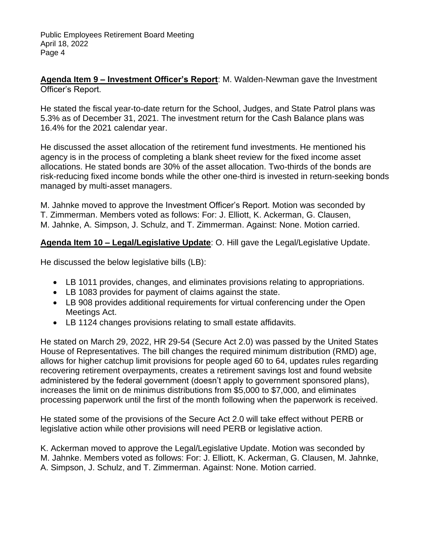**Agenda Item 9 – Investment Officer's Report**: M. Walden-Newman gave the Investment Officer's Report.

He stated the fiscal year-to-date return for the School, Judges, and State Patrol plans was 5.3% as of December 31, 2021. The investment return for the Cash Balance plans was 16.4% for the 2021 calendar year.

He discussed the asset allocation of the retirement fund investments. He mentioned his agency is in the process of completing a blank sheet review for the fixed income asset allocations. He stated bonds are 30% of the asset allocation. Two-thirds of the bonds are risk-reducing fixed income bonds while the other one-third is invested in return-seeking bonds managed by multi-asset managers.

M. Jahnke moved to approve the Investment Officer's Report. Motion was seconded by T. Zimmerman. Members voted as follows: For: J. Elliott, K. Ackerman, G. Clausen, M. Jahnke, A. Simpson, J. Schulz, and T. Zimmerman. Against: None. Motion carried.

# **Agenda Item 10 – Legal/Legislative Update**: O. Hill gave the Legal/Legislative Update.

He discussed the below legislative bills (LB):

- LB 1011 provides, changes, and eliminates provisions relating to appropriations.
- LB 1083 provides for payment of claims against the state.
- LB 908 provides additional requirements for virtual conferencing under the Open Meetings Act.
- LB 1124 changes provisions relating to small estate affidavits.

He stated on March 29, 2022, HR 29-54 (Secure Act 2.0) was passed by the United States House of Representatives. The bill changes the required minimum distribution (RMD) age, allows for higher catchup limit provisions for people aged 60 to 64, updates rules regarding recovering retirement overpayments, creates a retirement savings lost and found website administered by the federal government (doesn't apply to government sponsored plans), increases the limit on de minimus distributions from \$5,000 to \$7,000, and eliminates processing paperwork until the first of the month following when the paperwork is received.

He stated some of the provisions of the Secure Act 2.0 will take effect without PERB or legislative action while other provisions will need PERB or legislative action.

K. Ackerman moved to approve the Legal/Legislative Update. Motion was seconded by M. Jahnke. Members voted as follows: For: J. Elliott, K. Ackerman, G. Clausen, M. Jahnke, A. Simpson, J. Schulz, and T. Zimmerman. Against: None. Motion carried.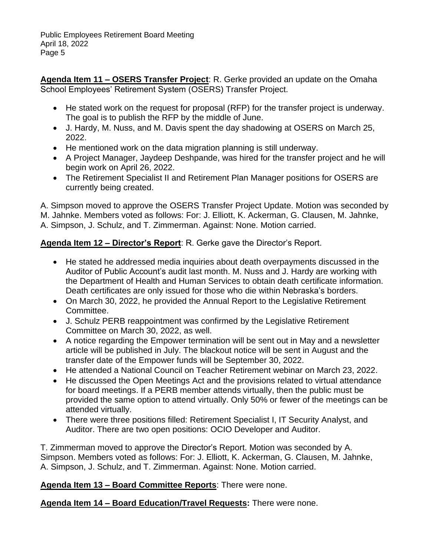**Agenda Item 11 – OSERS Transfer Project**: R. Gerke provided an update on the Omaha School Employees' Retirement System (OSERS) Transfer Project.

- He stated work on the request for proposal (RFP) for the transfer project is underway. The goal is to publish the RFP by the middle of June.
- J. Hardy, M. Nuss, and M. Davis spent the day shadowing at OSERS on March 25, 2022.
- He mentioned work on the data migration planning is still underway.
- A Project Manager, Jaydeep Deshpande, was hired for the transfer project and he will begin work on April 26, 2022.
- The Retirement Specialist II and Retirement Plan Manager positions for OSERS are currently being created.

A. Simpson moved to approve the OSERS Transfer Project Update. Motion was seconded by M. Jahnke. Members voted as follows: For: J. Elliott, K. Ackerman, G. Clausen, M. Jahnke, A. Simpson, J. Schulz, and T. Zimmerman. Against: None. Motion carried.

# **Agenda Item 12 – Director's Report**: R. Gerke gave the Director's Report.

- He stated he addressed media inquiries about death overpayments discussed in the Auditor of Public Account's audit last month. M. Nuss and J. Hardy are working with the Department of Health and Human Services to obtain death certificate information. Death certificates are only issued for those who die within Nebraska's borders.
- On March 30, 2022, he provided the Annual Report to the Legislative Retirement Committee.
- J. Schulz PERB reappointment was confirmed by the Legislative Retirement Committee on March 30, 2022, as well.
- A notice regarding the Empower termination will be sent out in May and a newsletter article will be published in July. The blackout notice will be sent in August and the transfer date of the Empower funds will be September 30, 2022.
- He attended a National Council on Teacher Retirement webinar on March 23, 2022.
- He discussed the Open Meetings Act and the provisions related to virtual attendance for board meetings. If a PERB member attends virtually, then the public must be provided the same option to attend virtually. Only 50% or fewer of the meetings can be attended virtually.
- There were three positions filled: Retirement Specialist I, IT Security Analyst, and Auditor. There are two open positions: OCIO Developer and Auditor.

T. Zimmerman moved to approve the Director's Report. Motion was seconded by A. Simpson. Members voted as follows: For: J. Elliott, K. Ackerman, G. Clausen, M. Jahnke, A. Simpson, J. Schulz, and T. Zimmerman. Against: None. Motion carried.

# **Agenda Item 13 – Board Committee Reports**: There were none.

**Agenda Item 14 – Board Education/Travel Requests:** There were none.